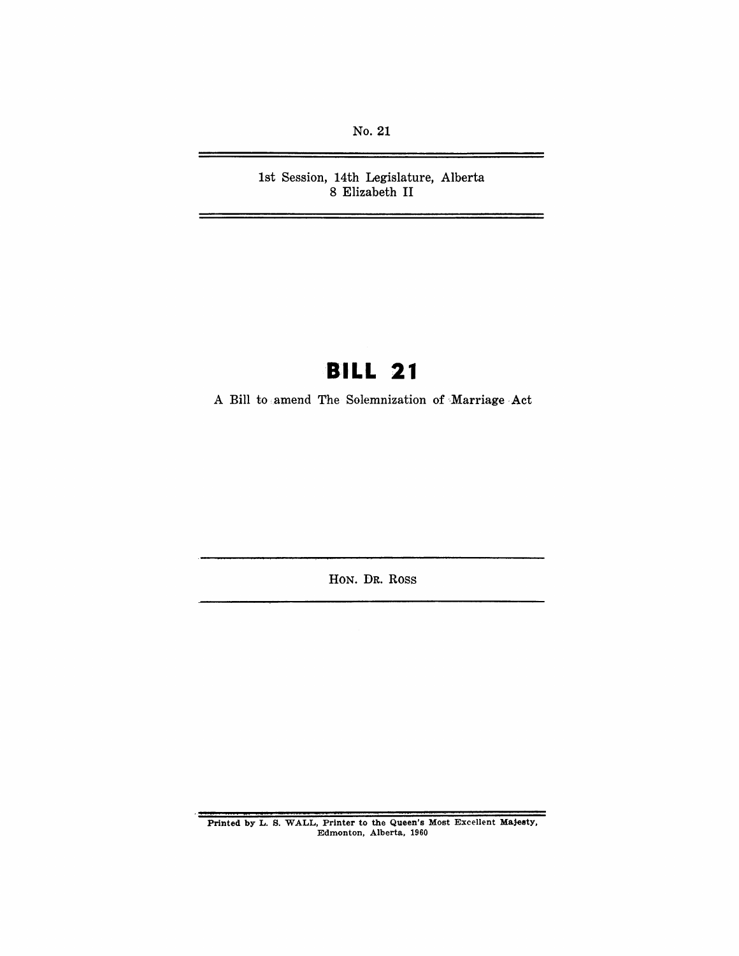No. 21

1st Session, 14th Legislature, Alberta 8 Elizabeth II

# **BILL 21**

A Bill to amend The Solemnization of Marriage Act

HON. DR. Ross

Printed by L. S. WALL, Printer to the Queen's Most Excellent Majeety, Edmonton, Alberta, 1960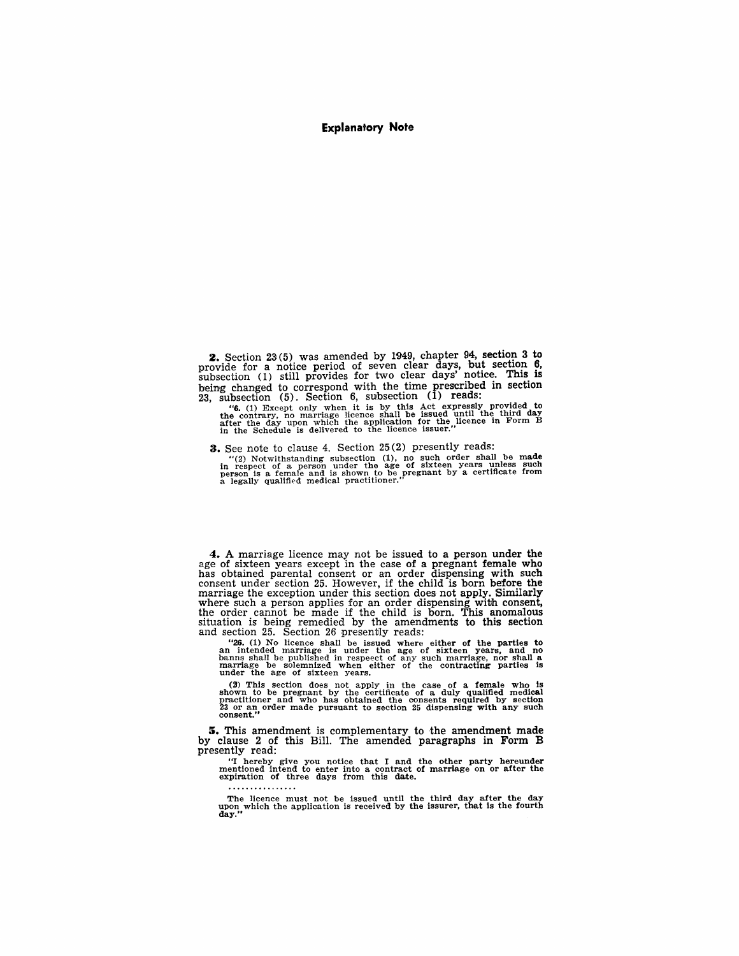#### Explanatory Note

**2.** Section  $23(5)$  was amended by 1949, chapter 94, section 3 to provide for a notice period of seven clear days, but section 6, subsection (1) still provides for two clear days' notice. This is being changed to correspond with the time prescribed in section  $23$ , subsection  $(5)$ . Section 6, subsection  $(1)$  reads:

"G. (1) Except only when it is by this Act expressly provided to the contrary, no marriage licence shall be issued until the third day after the day when it is by this act expressive provided to the licence in Form B in th

3. See note to clause 4. Section 25(2) presently reads:

"(2) Notwithstanding subsection (1), no such order shall be made<br>in respect of a person under the age of sixteen years unless such<br>person is a female and is shown to be pregnant by a certificate from<br>a legally qualified m

4. A marriage licence may not be issued to a person under the age of sixteen years except in the case of a pregnant female who has obtained parental consent or an order dispensing with such consent under section 25. However, if the child is born before the marriage the exception under this section does not apply. Similarly where such a person applies for an order dispensing with consent, the order cannot be made if the child is born. This anomalous situation is being remedied by the amendments to this section and section 25. Section 26 presently reads:

"26. (1) No licence shall be issued where either of the parties to an intended marriage is under the age of sixteen years, and no banns shall be published in respect of any such marriage, nor shall a marriage be solemnize

(2) This section does not apply in the case of a female who is shown to be pregnant by the certificate of a duly qualified medical practitioner and who has obtained the consents required by section  $23$  or an order made p

s. This amendment is complementary to the amendment made by clause 2 of this Bill. The amended paragraphs in Form B presently read:

"I hereby give you notice that I and the other party hereunder mentioned intend to enter into a contract of marriage on or after the expiration of three days from this date.

. . . . . . . . . . .

The licence must not be issued until the third day after the day upon which the application is received by the issurer, that is the fourth day."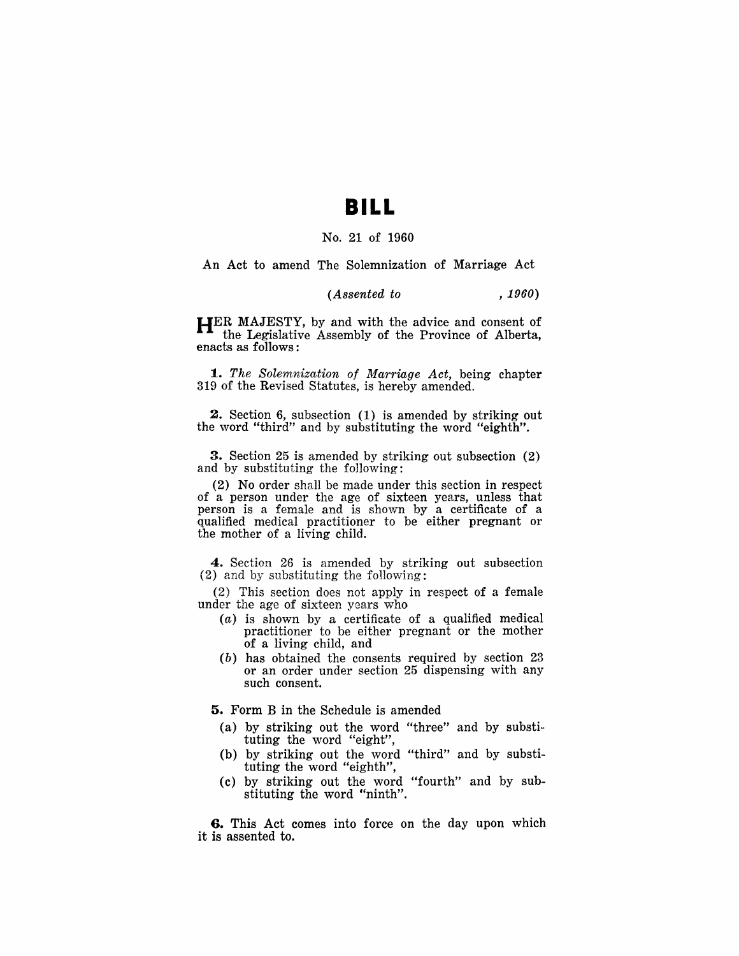### **BILL**

#### No. 21 of 1960

An Act to amend The Solemnization of Marriage Act

#### *(Assented to , 1960)*

HER MAJESTY, by and with the advice and consent of the Legislative Assembly of the Province of Alberta, enacts as follows:

*1. The Solemnization of Marriage Act,* being chapter 319 of the Revised Statutes, is hereby amended.

2. Section 6, subsection (1) is amended by striking out the word "third" and by substituting the word "eighth".

3. Section 25 is amended by striking out subsection (2) and by substituting the following:

(2) No order shall be made under this section in respect of a person under the age of sixteen years, unless that person is a female and is shown by a certificate of a qualified medical practitioner to be either pregnant or the mother of a living child.

4. Section 26 is amended by striking out subsection  $(2)$  and by substituting the following:

(2) This section does not apply in respect of a female under the age of sixteen years who

- (a) is shown by a certificate of a qualified medical practitioner to be either pregnant or the mother of a living child, and
- (b) has obtained the consents required by section 23 or an order under section 25 dispensing with any such consent.

5. Form B in the Schedule is amended

- (a) by striking out the word "three" and by substituting the word "eight",
- (b) by striking out the word "third" and by substituting the word "eighth",
- (c) by striking out the word "fourth" and by substituting the word "ninth".

6. This Act comes into force on the day upon which it is assented to.